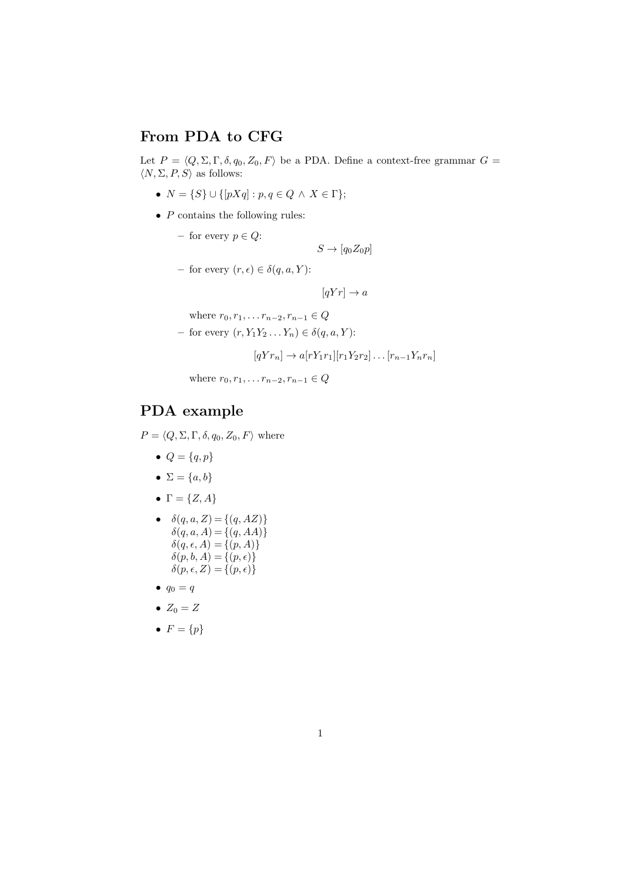#### From PDA to CFG

Let  $P = \langle Q, \Sigma, \Gamma, \delta, q_0, Z_0, F \rangle$  be a PDA. Define a context-free grammar  $G =$  $\langle N, \Sigma, P, S \rangle$  as follows:

- $N = \{S\} \cup \{[pXq] : p, q \in Q \land X \in \Gamma\};$
- $\bullet$  *P* contains the following rules:
	- for every  $p \in Q$ :  $S \to [q_0 Z_0 p]$
	- for every  $(r, \epsilon) \in \delta(q, a, Y)$ :

 $[qYr] \rightarrow a$ 

where  $r_0, r_1, \ldots r_{n-2}, r_{n-1} \in Q$ 

– for every  $(r, Y_1Y_2 \ldots Y_n) \in \delta(q, a, Y)$ :

 $[qYr_n] \to a[rY_1r_1][r_1Y_2r_2] \dots [r_{n-1}Y_nr_n]$ 

where  $r_0, r_1, \ldots r_{n-2}, r_{n-1} \in Q$ 

#### PDA example

 $P = \langle Q, \Sigma, \Gamma, \delta, q_0, Z_0, F \rangle$  where

- $Q = \{q, p\}$
- $\Sigma = \{a, b\}$
- $\Gamma = \{Z, A\}$
- $\delta(q, a, Z) = \{(q, AZ)\}\;$  $\delta(q, a, A) = \{(q, AA)\}\$  $\delta(q, \epsilon, A) = \{(p, A)\}\$  $\delta(p, b, A) = \{(p, \epsilon)\}\$  $\delta(p, \epsilon, Z) = \{ (p, \epsilon) \}$
- $q_0 = q$
- $Z_0 = Z$
- $F = \{p\}$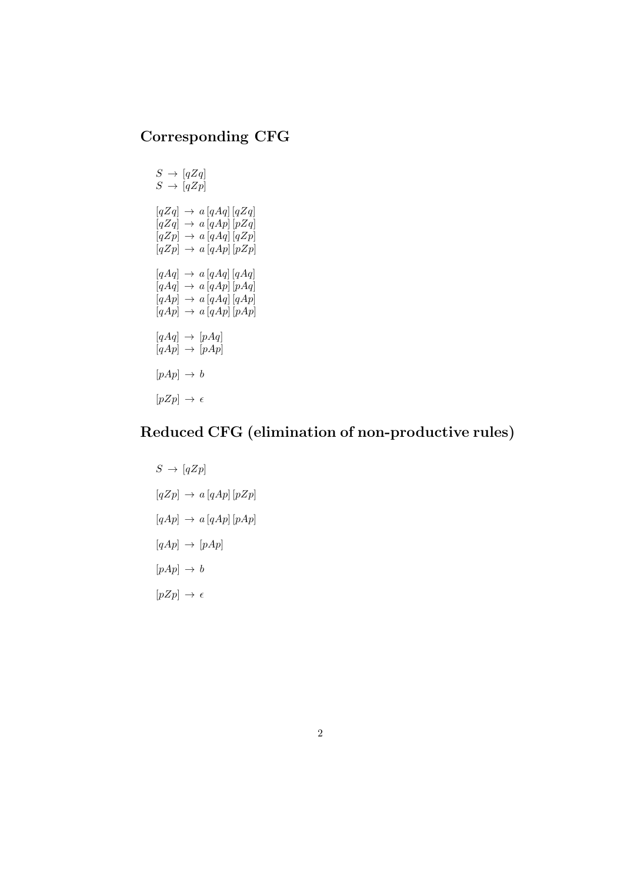## Corresponding CFG

 $S \rightarrow [qZq]$  $S \rightarrow [qZp]$  $[qZq] \rightarrow a [qAq] [qZq]$  $[qZq] \rightarrow a [qAp] [pZq]$  $[qZp] \rightarrow a [qAq] [qZp]$  $[qZp] \rightarrow a [qAp] [pZp]$  $[qAq] \rightarrow a [qAq] [qAq]$  $[qAq] \rightarrow a [qAp] [pAq]$  $[qAp] \rightarrow a [qAq] [qAp]$  $[qAp] \rightarrow a [qAp] [pAp]$  $[qAq] \rightarrow [pAq]$  $[qAp] \rightarrow [pAp]$  $[pAp] \rightarrow b$  $[pZp] \rightarrow \epsilon$ 

## Reduced CFG (elimination of non-productive rules)

$$
S \rightarrow [qZp]
$$
  
\n
$$
[qZp] \rightarrow a [qAp] [pZp]
$$
  
\n
$$
[qAp] \rightarrow a [qAp] [pAp]
$$
  
\n
$$
[qAp] \rightarrow [pAp]
$$
  
\n
$$
[pAp] \rightarrow b
$$
  
\n
$$
[pZp] \rightarrow \epsilon
$$